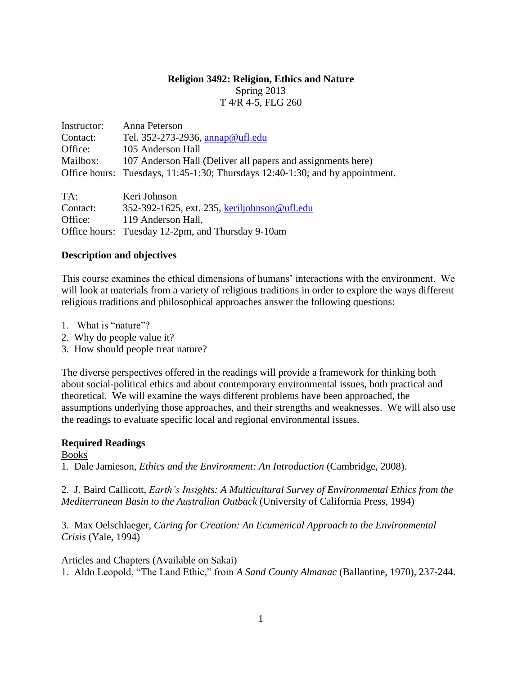### **Religion 3492: Religion, Ethics and Nature**

Spring 2013 T 4/R 4-5, FLG 260

| Instructor: | Anna Peterson                                                                 |
|-------------|-------------------------------------------------------------------------------|
| Contact:    | Tel. 352-273-2936, annap@ufl.edu                                              |
| Office:     | 105 Anderson Hall                                                             |
| Mailbox:    | 107 Anderson Hall (Deliver all papers and assignments here)                   |
|             | Office hours: Tuesdays, 11:45-1:30; Thursdays 12:40-1:30; and by appointment. |
| $TA$ :      | Keri Johnson                                                                  |

Contact: 352-392-1625, ext. 235, [keriljohnson@ufl.edu](mailto:keriljohnson@ufl.edu) Office: 119 Anderson Hall, Office hours: Tuesday 12-2pm, and Thursday 9-10am

# **Description and objectives**

This course examines the ethical dimensions of humans' interactions with the environment. We will look at materials from a variety of religious traditions in order to explore the ways different religious traditions and philosophical approaches answer the following questions:

- 1. What is "nature"?
- 2. Why do people value it?
- 3. How should people treat nature?

The diverse perspectives offered in the readings will provide a framework for thinking both about social-political ethics and about contemporary environmental issues, both practical and theoretical. We will examine the ways different problems have been approached, the assumptions underlying those approaches, and their strengths and weaknesses. We will also use the readings to evaluate specific local and regional environmental issues.

# **Required Readings**

Books

1. Dale Jamieson, *Ethics and the Environment: An Introduction* (Cambridge, 2008).

2. J. Baird Callicott, *Earth's Insights: A Multicultural Survey of Environmental Ethics from the Mediterranean Basin to the Australian Outback* (University of California Press, 1994)

3. Max Oelschlaeger, *Caring for Creation: An Ecumenical Approach to the Environmental Crisis* (Yale, 1994)

Articles and Chapters (Available on Sakai)

1. Aldo Leopold, "The Land Ethic," from *A Sand County Almanac* (Ballantine, 1970), 237-244.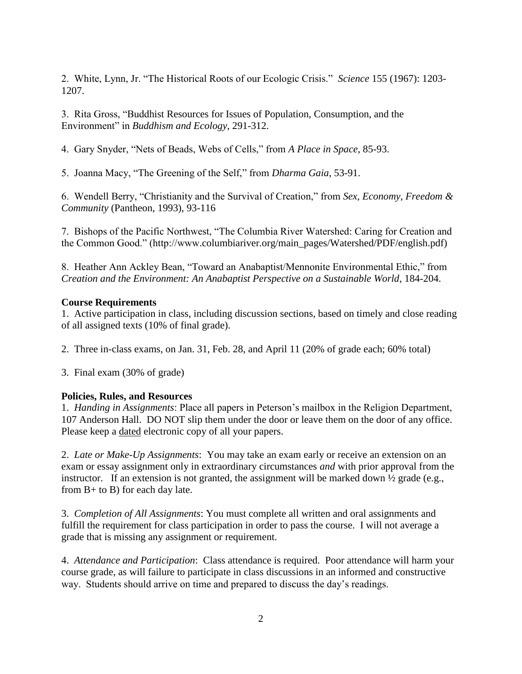2. White, Lynn, Jr. "The Historical Roots of our Ecologic Crisis." *Science* 155 (1967): 1203- 1207.

3. Rita Gross, "Buddhist Resources for Issues of Population, Consumption, and the Environment" in *Buddhism and Ecology*, 291-312.

4. Gary Snyder, "Nets of Beads, Webs of Cells," from *A Place in Space*, 85-93.

5. Joanna Macy, "The Greening of the Self," from *Dharma Gaia*, 53-91.

6. Wendell Berry, "Christianity and the Survival of Creation," from *Sex, Economy, Freedom & Community* (Pantheon, 1993), 93-116

7. Bishops of the Pacific Northwest, "The Columbia River Watershed: Caring for Creation and the Common Good." (http://www.columbiariver.org/main\_pages/Watershed/PDF/english.pdf)

8. Heather Ann Ackley Bean, "Toward an Anabaptist/Mennonite Environmental Ethic," from *Creation and the Environment: An Anabaptist Perspective on a Sustainable World*, 184-204.

# **Course Requirements**

1. Active participation in class, including discussion sections, based on timely and close reading of all assigned texts (10% of final grade).

2. Three in-class exams, on Jan. 31, Feb. 28, and April 11 (20% of grade each; 60% total)

3. Final exam (30% of grade)

# **Policies, Rules, and Resources**

1. *Handing in Assignments*: Place all papers in Peterson's mailbox in the Religion Department, 107 Anderson Hall. DO NOT slip them under the door or leave them on the door of any office. Please keep a dated electronic copy of all your papers.

2. *Late or Make-Up Assignments*: You may take an exam early or receive an extension on an exam or essay assignment only in extraordinary circumstances *and* with prior approval from the instructor. If an extension is not granted, the assignment will be marked down  $\frac{1}{2}$  grade (e.g., from B+ to B) for each day late.

3. *Completion of All Assignments*: You must complete all written and oral assignments and fulfill the requirement for class participation in order to pass the course. I will not average a grade that is missing any assignment or requirement.

4. *Attendance and Participation*: Class attendance is required. Poor attendance will harm your course grade, as will failure to participate in class discussions in an informed and constructive way. Students should arrive on time and prepared to discuss the day's readings.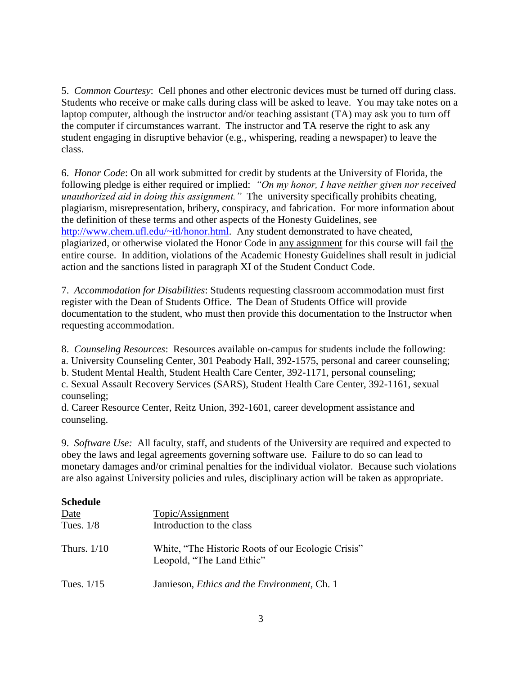5. *Common Courtesy*: Cell phones and other electronic devices must be turned off during class. Students who receive or make calls during class will be asked to leave. You may take notes on a laptop computer, although the instructor and/or teaching assistant (TA) may ask you to turn off the computer if circumstances warrant. The instructor and TA reserve the right to ask any student engaging in disruptive behavior (e.g., whispering, reading a newspaper) to leave the class.

6. *Honor Code*: On all work submitted for credit by students at the University of Florida, the following pledge is either required or implied: *"On my honor, I have neither given nor received unauthorized aid in doing this assignment."* The university specifically prohibits cheating, plagiarism, misrepresentation, bribery, conspiracy, and fabrication. For more information about the definition of these terms and other aspects of the Honesty Guidelines, see [http://www.chem.ufl.edu/~itl/honor.html.](http://www.chem.ufl.edu/~itl/honor.html) Any student demonstrated to have cheated, plagiarized, or otherwise violated the Honor Code in any assignment for this course will fail the entire course. In addition, violations of the Academic Honesty Guidelines shall result in judicial action and the sanctions listed in paragraph XI of the Student Conduct Code.

7. *Accommodation for Disabilities*: Students requesting classroom accommodation must first register with the Dean of Students Office. The Dean of Students Office will provide documentation to the student, who must then provide this documentation to the Instructor when requesting accommodation.

8. *Counseling Resources*: Resources available on-campus for students include the following:

a. University Counseling Center, 301 Peabody Hall, 392-1575, personal and career counseling;

b. Student Mental Health, Student Health Care Center, 392-1171, personal counseling;

c. Sexual Assault Recovery Services (SARS), Student Health Care Center, 392-1161, sexual counseling;

d. Career Resource Center, Reitz Union, 392-1601, career development assistance and counseling.

9. *Software Use:* All faculty, staff, and students of the University are required and expected to obey the laws and legal agreements governing software use. Failure to do so can lead to monetary damages and/or criminal penalties for the individual violator. Because such violations are also against University policies and rules, disciplinary action will be taken as appropriate.

### **Schedule**

| Date<br>Tues. $1/8$ | Topic/Assignment<br>Introduction to the class                                   |
|---------------------|---------------------------------------------------------------------------------|
| Thurs. $1/10$       | White, "The Historic Roots of our Ecologic Crisis"<br>Leopold, "The Land Ethic" |
| Tues. $1/15$        | Jamieson, <i>Ethics and the Environment</i> , Ch. 1                             |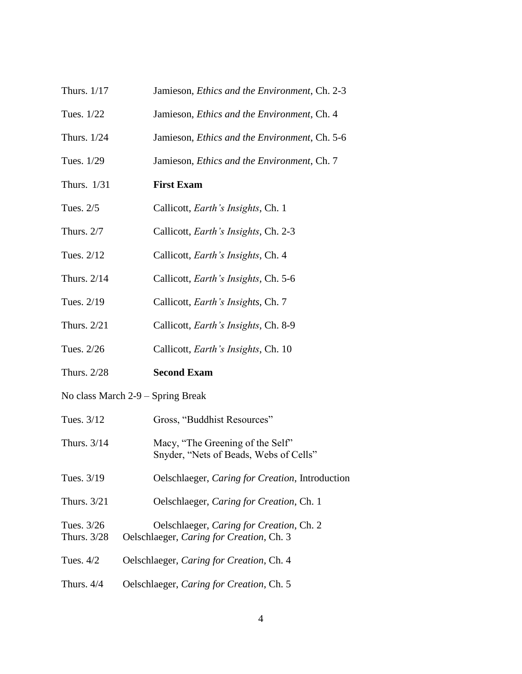- Thurs. 1/17 Jamieson, *Ethics and the Environment*, Ch. 2-3
- Tues. 1/22 Jamieson, *Ethics and the Environment*, Ch. 4
- Thurs. 1/24 Jamieson, *Ethics and the Environment*, Ch. 5-6
- Tues. 1/29 Jamieson, *Ethics and the Environment*, Ch. 7
- Thurs. 1/31 **First Exam**
- Tues. 2/5 Callicott, *Earth's Insights*, Ch. 1
- Thurs. 2/7 Callicott, *Earth's Insights*, Ch. 2-3
- Tues. 2/12 Callicott, *Earth's Insights*, Ch. 4
- Thurs. 2/14 Callicott, *Earth's Insights*, Ch. 5-6
- Tues. 2/19 Callicott, *Earth's Insights*, Ch. 7
- Thurs. 2/21 Callicott, *Earth's Insights*, Ch. 8-9
- Tues. 2/26 Callicott, *Earth's Insights*, Ch. 10
- Thurs. 2/28 **Second Exam**
- No class March 2-9 Spring Break
- Tues.  $3/12$  Gross, "Buddhist Resources"
- Thurs. 3/14 Macy, "The Greening of the Self" Snyder, "Nets of Beads, Webs of Cells"
- Tues. 3/19 Oelschlaeger, *Caring for Creation*, Introduction
- Thurs. 3/21 Oelschlaeger, *Caring for Creation*, Ch. 1
- Tues. 3/26 Oelschlaeger, *Caring for Creation*, Ch. 2 Thurs. 3/28 Oelschlaeger, *Caring for Creation*, Ch. 3
- Tues. 4/2 Oelschlaeger, *Caring for Creation*, Ch. 4
- Thurs. 4/4 Oelschlaeger, *Caring for Creation*, Ch. 5